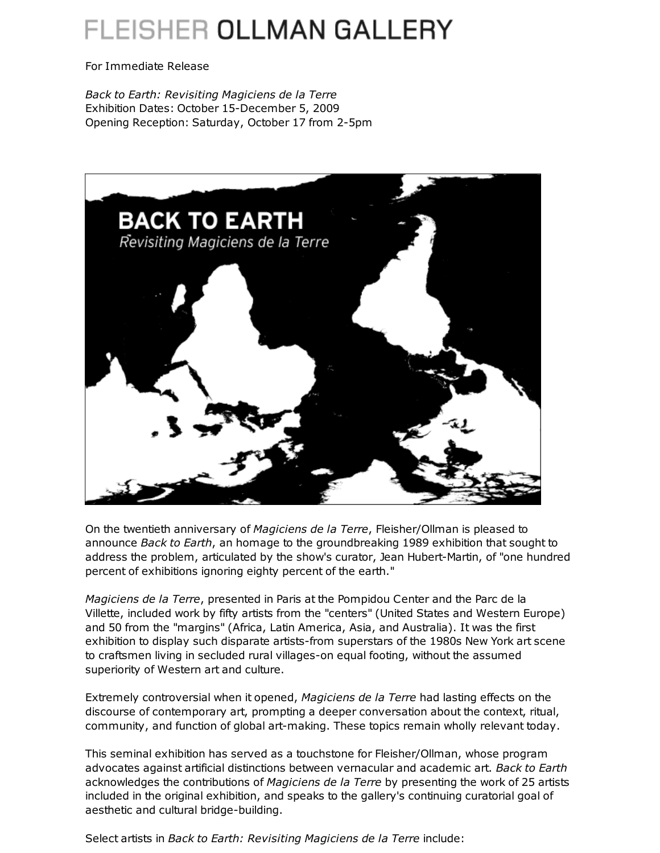## FLEISHER OLLMAN GALLERY

For Immediate Release

*Back to Earth: Revisiting Magiciens de la Terre* Exhibition Dates: October 15-December 5, 2009 Opening Reception: Saturday, October 17 from 2-5pm



On the twentieth anniversary of *Magiciens de la Terre*, Fleisher/Ollman is pleased to announce *Back to Earth*, an homage to the groundbreaking 1989 exhibition that sought to address the problem, articulated by the show's curator, Jean Hubert-Martin, of "one hundred percent of exhibitions ignoring eighty percent of the earth."

*Magiciens de la Terre*, presented in Paris at the Pompidou Center and the Parc de la Villette, included work by fifty artists from the "centers" (United States and Western Europe) and 50 from the "margins" (Africa, Latin America, Asia, and Australia). It was the first exhibition to display such disparate artists-from superstars of the 1980s New York art scene to craftsmen living in secluded rural villages-on equal footing, without the assumed superiority of Western art and culture.

Extremely controversial when it opened, *Magiciens de la Terre* had lasting effects on the discourse of contemporary art, prompting a deeper conversation about the context, ritual, community, and function of global art-making. These topics remain wholly relevant today.

This seminal exhibition has served as a touchstone for Fleisher/Ollman, whose program advocates against artificial distinctions between vernacular and academic art. *Back to Earth* acknowledges the contributions of *Magiciens de la Terre* by presenting the work of 25 artists included in the original exhibition, and speaks to the gallery's continuing curatorial goal of aesthetic and cultural bridge-building.

Select artists in *Back to Earth: Revisiting Magiciens de la Terre* include: